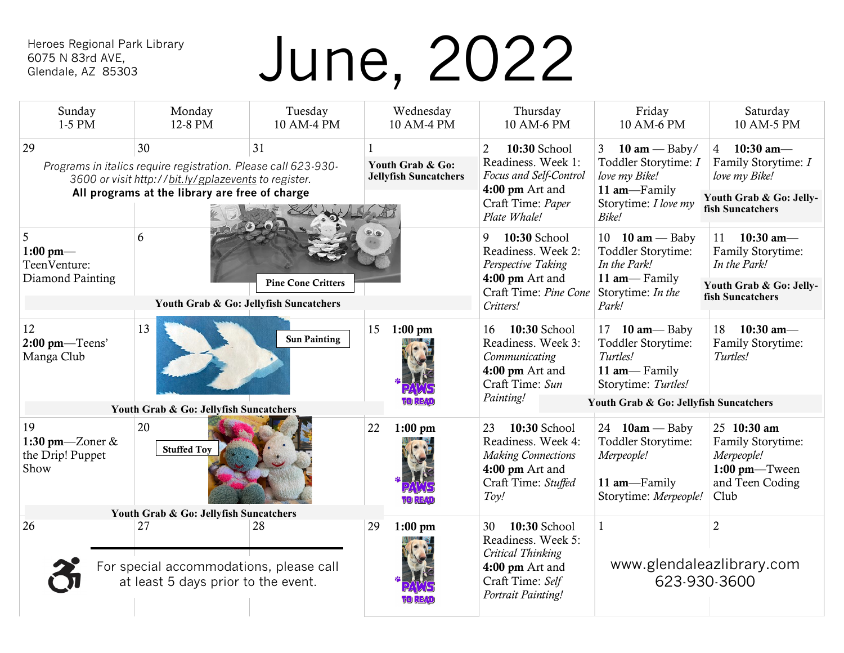## 6075 N 83rd AVE, Glendale, AZ 85303

# Heroes Regional Park Library<br>6075 N 83rd AVE,<br>Glendale, AZ 85303

| Sunday<br>1-5 PM                                                                                                                                                                           | Monday<br>12-8 PM                                                                    | Tuesday<br>10 AM-4 PM     |    | Wednesday<br>10 AM-4 PM                          | Thursday<br>10 AM-6 PM                                                                                                                 | Friday<br>10 AM-6 PM                                                                                                         | Saturday<br>10 AM-5 PM                                                                                |
|--------------------------------------------------------------------------------------------------------------------------------------------------------------------------------------------|--------------------------------------------------------------------------------------|---------------------------|----|--------------------------------------------------|----------------------------------------------------------------------------------------------------------------------------------------|------------------------------------------------------------------------------------------------------------------------------|-------------------------------------------------------------------------------------------------------|
| 30<br>29<br>31<br>Programs in italics require registration. Please call 623-930-<br>3600 or visit http://bit.ly/gplazevents to register.<br>All programs at the library are free of charge |                                                                                      |                           |    | Youth Grab & Go:<br><b>Jellyfish Suncatchers</b> | $\overline{2}$<br>10:30 School<br>Readiness. Week 1:<br>Focus and Self-Control<br>4:00 pm Art and<br>Craft Time: Paper<br>Plate Whale! | $10 \text{ am} - \text{Baby}$<br>3<br>Toddler Storytime: I<br>love my Bike!<br>11 am-Family<br>Storytime: I love my<br>Bike! | 4 10:30 am $-$<br>Family Storytime: I<br>love my Bike!<br>Youth Grab & Go: Jelly-<br>fish Suncatchers |
| 5<br>1:00 pm—<br>TeenVenture:<br>Diamond Painting                                                                                                                                          | 6<br>Youth Grab & Go: Jellyfish Suncatchers                                          | <b>Pine Cone Critters</b> |    |                                                  | 9<br>10:30 School<br>Readiness. Week 2:<br>Perspective Taking<br>4:00 pm Art and<br>Craft Time: Pine Cone<br>Critters!                 | 10 $10 \text{ am} - \text{Baby}$<br>Toddler Storytime:<br>In the Park!<br>11 am-Family<br>Storytime: In the<br>Park!         | $10:30$ am-<br>11<br>Family Storytime:<br>In the Park!<br>Youth Grab & Go: Jelly-<br>fish Suncatchers |
| 12<br>$2:00$ pm—Teens'<br>Manga Club                                                                                                                                                       | 13                                                                                   | <b>Sun Painting</b>       | 15 | $1:00 \text{ pm}$                                | 10:30 School<br>16<br>Readiness. Week 3:<br>Communicating<br>4:00 pm Art and<br>Craft Time: Sun<br>Painting!                           | 17 $10 \text{ am} - \text{Baby}$<br>Toddler Storytime:<br>Turtles!<br>11 am-Family<br>Storytime: Turtles!                    | 10:30 am-<br>18<br>Family Storytime:<br>Turtles!                                                      |
| Youth Grab & Go: Jellyfish Suncatchers                                                                                                                                                     |                                                                                      |                           |    |                                                  |                                                                                                                                        | Youth Grab & Go: Jellyfish Suncatchers                                                                                       |                                                                                                       |
| 19<br>1:30 pm—Zoner $&$<br>the Drip! Puppet<br>Show                                                                                                                                        | 20<br><b>Stuffed Toy</b>                                                             |                           | 22 | $1:00$ pm                                        | 10:30 School<br>23<br>Readiness. Week 4:<br><b>Making Connections</b><br>$4:00$ pm Art and<br>Craft Time: Stuffed<br>Toy!              | 24 $10am -$ Baby<br>Toddler Storytime:<br>Merpeople!<br>11 am-Family<br>Storytime: Merpeople!                                | 25 10:30 am<br>Family Storytime:<br>Merpeople!<br>$1:00$ pm—Tween<br>and Teen Coding<br>Club          |
| Youth Grab & Go: Jellyfish Suncatchers                                                                                                                                                     |                                                                                      |                           |    |                                                  |                                                                                                                                        |                                                                                                                              |                                                                                                       |
| 26                                                                                                                                                                                         | 27<br>For special accommodations, please call<br>at least 5 days prior to the event. | 28                        | 29 | $1:00$ pm                                        | 10:30 School<br>30<br>Readiness. Week 5:<br>Critical Thinking<br>4:00 pm Art and<br>Craft Time: Self<br>Portrait Painting!             | www.glendaleazlibrary.com<br>623-930-3600                                                                                    | $\overline{2}$                                                                                        |